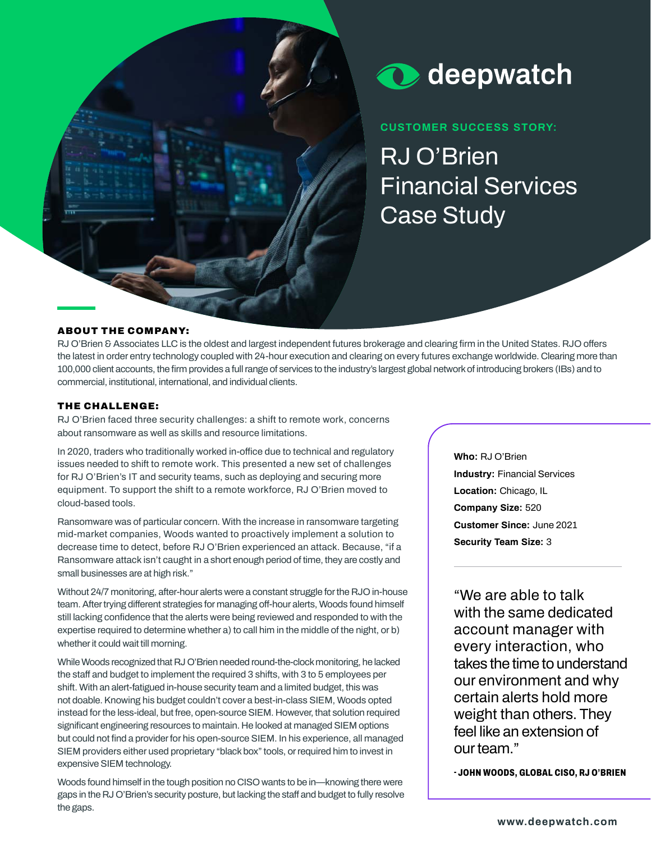



**CUSTOMER SUCCESS STORY:** 

**RJ O'Brien Financial Services Case Study**

## ABOUT THE COMPANY:

**RJ O'Brien & Associates LLC is the oldest and largest independent futures brokerage and clearing firm in the United States. RJO offers the latest in order entry technology coupled with 24-hour execution and clearing on every futures exchange worldwide. Clearing more than 100,000 client accounts, the firm provides a full range of services to the industry's largest global network of introducing brokers (IBs) and to commercial, institutional, international, and individual clients.**

### THE CHALLENGE:

**RJ O'Brien faced three security challenges: a shift to remote work, concerns about ransomware as well as skills and resource limitations.**

**In 2020, traders who traditionally worked in-office due to technical and regulatory issues needed to shift to remote work. This presented a new set of challenges for RJ O'Brien's IT and security teams, such as deploying and securing more equipment. To support the shift to a remote workforce, RJ O'Brien moved to cloud-based tools.** 

**Ransomware was of particular concern. With the increase in ransomware targeting mid-market companies, Woods wanted to proactively implement a solution to decrease time to detect, before RJ O'Brien experienced an attack. Because, "if a Ransomware attack isn't caught in a short enough period of time, they are costly and small businesses are at high risk."**

**Without 24/7 monitoring, after-hour alerts were a constant struggle for the RJO in-house team. After trying different strategies for managing off-hour alerts, Woods found himself still lacking confidence that the alerts were being reviewed and responded to with the expertise required to determine whether a) to call him in the middle of the night, or b) whether it could wait till morning.**

**While Woods recognized that RJ O'Brien needed round-the-clock monitoring, he lacked the staff and budget to implement the required 3 shifts, with 3 to 5 employees per shift. With an alert-fatigued in-house security team and a limited budget, this was not doable. Knowing his budget couldn't cover a best-in-class SIEM, Woods opted instead for the less-ideal, but free, open-source SIEM. However, that solution required significant engineering resources to maintain. He looked at managed SIEM options but could not find a provider for his open-source SIEM. In his experience, all managed SIEM providers either used proprietary "black box" tools, or required him to invest in expensive SIEM technology.**

**Woods found himself in the tough position no CISO wants to be in—knowing there were gaps in the RJ O'Brien's security posture, but lacking the staff and budget to fully resolve the gaps.**

**Who: RJ O'Brien Industry: Financial Services Location: Chicago, IL Company Size: 520 Customer Since: June 2021 Security Team Size: 3**

**"We are able to talk with the same dedicated account manager with every interaction, who takes the time to understand our environment and why certain alerts hold more weight than others. They feel like an extension of our team."**

**- JOHN WOODS, GLOBAL CISO, RJ O'BRIEN**